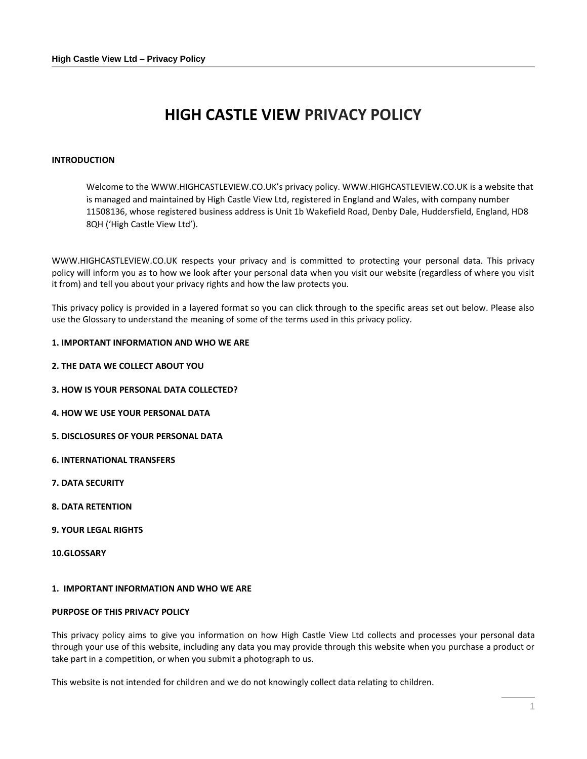# **HIGH CASTLE VIEW PRIVACY POLICY**

## **INTRODUCTION**

Welcome to the WWW.HIGHCASTLEVIEW.CO.UK's privacy policy. WWW.HIGHCASTLEVIEW.CO.UK is a website that is managed and maintained by High Castle View Ltd, registered in England and Wales, with company number 11508136, whose registered business address is Unit 1b Wakefield Road, Denby Dale, Huddersfield, England, HD8 8QH ('High Castle View Ltd').

WWW.HIGHCASTLEVIEW.CO.UK respects your privacy and is committed to protecting your personal data. This privacy policy will inform you as to how we look after your personal data when you visit our website (regardless of where you visit it from) and tell you about your privacy rights and how the law protects you.

This privacy policy is provided in a layered format so you can click through to the specific areas set out below. Please also use the Glossary to understand the meaning of some of the terms used in this privacy policy.

# **1. IMPORTANT INFORMATION AND WHO WE ARE**

- **2. THE DATA WE COLLECT ABOUT YOU**
- **3. HOW IS YOUR PERSONAL DATA COLLECTED?**
- **4. HOW WE USE YOUR PERSONAL DATA**
- **5. DISCLOSURES OF YOUR PERSONAL DATA**
- **6. INTERNATIONAL TRANSFERS**
- **7. DATA SECURITY**
- **8. DATA RETENTION**
- **9. YOUR LEGAL RIGHTS**
- **10.GLOSSARY**

### **1. IMPORTANT INFORMATION AND WHO WE ARE**

## **PURPOSE OF THIS PRIVACY POLICY**

This privacy policy aims to give you information on how High Castle View Ltd collects and processes your personal data through your use of this website, including any data you may provide through this website when you purchase a product or take part in a competition, or when you submit a photograph to us.

This website is not intended for children and we do not knowingly collect data relating to children.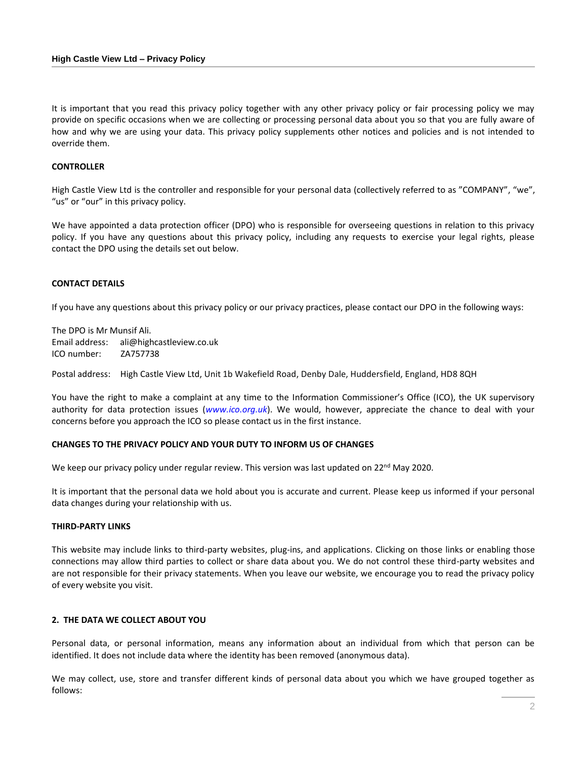It is important that you read this privacy policy together with any other privacy policy or fair processing policy we may provide on specific occasions when we are collecting or processing personal data about you so that you are fully aware of how and why we are using your data. This privacy policy supplements other notices and policies and is not intended to override them.

# **CONTROLLER**

High Castle View Ltd is the controller and responsible for your personal data (collectively referred to as "COMPANY", "we", "us" or "our" in this privacy policy.

We have appointed a data protection officer (DPO) who is responsible for overseeing questions in relation to this privacy policy. If you have any questions about this privacy policy, including any requests to exercise your legal rights, please contact the DPO using the details set out below.

# **CONTACT DETAILS**

If you have any questions about this privacy policy or our privacy practices, please contact our DPO in the following ways:

The DPO is Mr Munsif Ali. Email address: ali@highcastleview.co.uk ICO number: ZA757738

Postal address: High Castle View Ltd, Unit 1b Wakefield Road, Denby Dale, Huddersfield, England, HD8 8QH

You have the right to make a complaint at any time to the Information Commissioner's Office (ICO), the UK supervisory authority for data protection issues (*[www.ico.org.uk](http://www.ico.org.uk/)*). We would, however, appreciate the chance to deal with your concerns before you approach the ICO so please contact us in the first instance.

## **CHANGES TO THE PRIVACY POLICY AND YOUR DUTY TO INFORM US OF CHANGES**

We keep our privacy policy under regular review. This version was last updated on 22<sup>nd</sup> May 2020.

It is important that the personal data we hold about you is accurate and current. Please keep us informed if your personal data changes during your relationship with us.

# **THIRD-PARTY LINKS**

This website may include links to third-party websites, plug-ins, and applications. Clicking on those links or enabling those connections may allow third parties to collect or share data about you. We do not control these third-party websites and are not responsible for their privacy statements. When you leave our website, we encourage you to read the privacy policy of every website you visit.

## **2. THE DATA WE COLLECT ABOUT YOU**

Personal data, or personal information, means any information about an individual from which that person can be identified. It does not include data where the identity has been removed (anonymous data).

We may collect, use, store and transfer different kinds of personal data about you which we have grouped together as follows: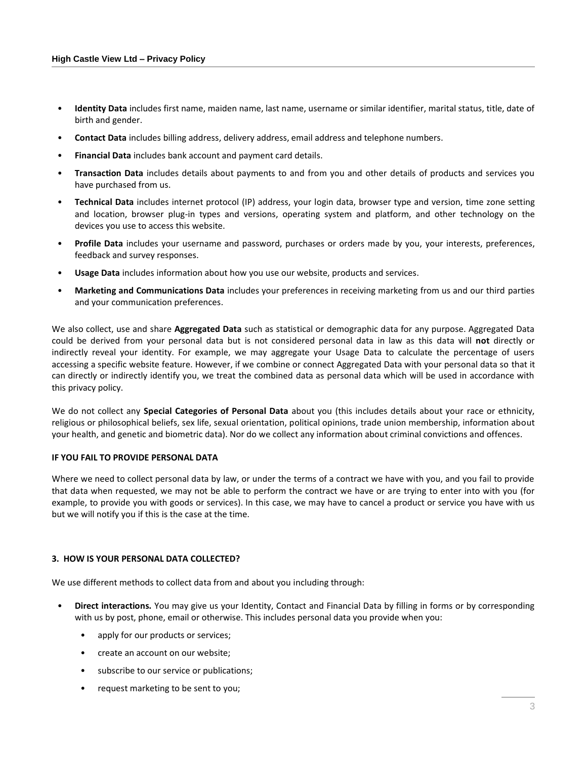- **Identity Data** includes first name, maiden name, last name, username or similar identifier, marital status, title, date of birth and gender.
- **Contact Data** includes billing address, delivery address, email address and telephone numbers.
- **Financial Data** includes bank account and payment card details.
- **Transaction Data** includes details about payments to and from you and other details of products and services you have purchased from us.
- **Technical Data** includes internet protocol (IP) address, your login data, browser type and version, time zone setting and location, browser plug-in types and versions, operating system and platform, and other technology on the devices you use to access this website.
- **Profile Data** includes your username and password, purchases or orders made by you, your interests, preferences, feedback and survey responses.
- **Usage Data** includes information about how you use our website, products and services.
- **Marketing and Communications Data** includes your preferences in receiving marketing from us and our third parties and your communication preferences.

We also collect, use and share **Aggregated Data** such as statistical or demographic data for any purpose. Aggregated Data could be derived from your personal data but is not considered personal data in law as this data will **not** directly or indirectly reveal your identity. For example, we may aggregate your Usage Data to calculate the percentage of users accessing a specific website feature. However, if we combine or connect Aggregated Data with your personal data so that it can directly or indirectly identify you, we treat the combined data as personal data which will be used in accordance with this privacy policy.

We do not collect any **Special Categories of Personal Data** about you (this includes details about your race or ethnicity, religious or philosophical beliefs, sex life, sexual orientation, political opinions, trade union membership, information about your health, and genetic and biometric data). Nor do we collect any information about criminal convictions and offences.

# **IF YOU FAIL TO PROVIDE PERSONAL DATA**

Where we need to collect personal data by law, or under the terms of a contract we have with you, and you fail to provide that data when requested, we may not be able to perform the contract we have or are trying to enter into with you (for example, to provide you with goods or services). In this case, we may have to cancel a product or service you have with us but we will notify you if this is the case at the time.

# **3. HOW IS YOUR PERSONAL DATA COLLECTED?**

We use different methods to collect data from and about you including through:

- **Direct interactions.** You may give us your Identity, Contact and Financial Data by filling in forms or by corresponding with us by post, phone, email or otherwise. This includes personal data you provide when you:
	- apply for our products or services;
	- create an account on our website;
	- subscribe to our service or publications;
	- request marketing to be sent to you;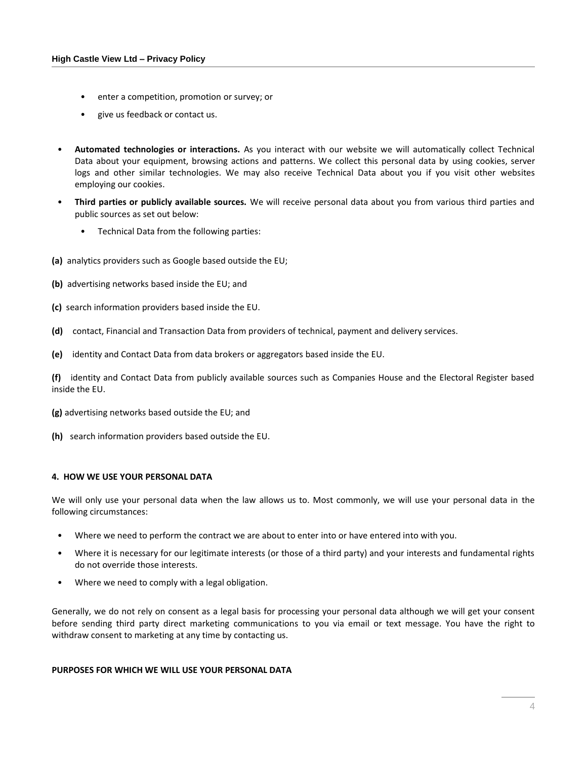- enter a competition, promotion or survey; or
- give us feedback or contact us.
- **Automated technologies or interactions.** As you interact with our website we will automatically collect Technical Data about your equipment, browsing actions and patterns. We collect this personal data by using cookies, server logs and other similar technologies. We may also receive Technical Data about you if you visit other websites employing our cookies.
- **Third parties or publicly available sources.** We will receive personal data about you from various third parties and public sources as set out below:
	- Technical Data from the following parties:
- **(a)** analytics providers such as Google based outside the EU;
- **(b)** advertising networks based inside the EU; and
- **(c)** search information providers based inside the EU.
- **(d)** contact, Financial and Transaction Data from providers of technical, payment and delivery services.
- **(e)** identity and Contact Data from data brokers or aggregators based inside the EU.

**(f)** identity and Contact Data from publicly available sources such as Companies House and the Electoral Register based inside the EU.

- **(g)** advertising networks based outside the EU; and
- **(h)** search information providers based outside the EU.

# **4. HOW WE USE YOUR PERSONAL DATA**

We will only use your personal data when the law allows us to. Most commonly, we will use your personal data in the following circumstances:

- Where we need to perform the contract we are about to enter into or have entered into with you.
- Where it is necessary for our legitimate interests (or those of a third party) and your interests and fundamental rights do not override those interests.
- Where we need to comply with a legal obligation.

Generally, we do not rely on consent as a legal basis for processing your personal data although we will get your consent before sending third party direct marketing communications to you via email or text message. You have the right to withdraw consent to marketing at any time by contacting us.

### **PURPOSES FOR WHICH WE WILL USE YOUR PERSONAL DATA**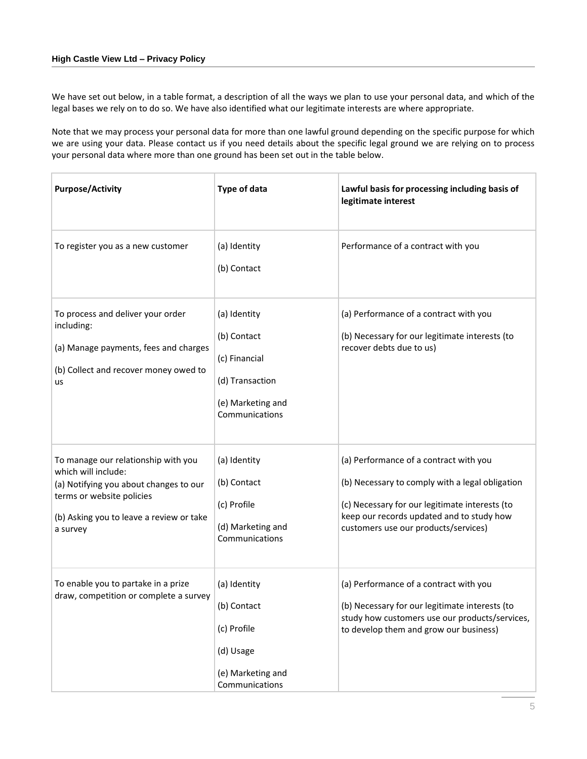We have set out below, in a table format, a description of all the ways we plan to use your personal data, and which of the legal bases we rely on to do so. We have also identified what our legitimate interests are where appropriate.

Note that we may process your personal data for more than one lawful ground depending on the specific purpose for which we are using your data. Please contact us if you need details about the specific legal ground we are relying on to process your personal data where more than one ground has been set out in the table below.

| <b>Purpose/Activity</b>                                                                                                                                                                   | <b>Type of data</b>                                                                                    | Lawful basis for processing including basis of<br>legitimate interest                                                                                                                                                            |
|-------------------------------------------------------------------------------------------------------------------------------------------------------------------------------------------|--------------------------------------------------------------------------------------------------------|----------------------------------------------------------------------------------------------------------------------------------------------------------------------------------------------------------------------------------|
| To register you as a new customer                                                                                                                                                         | (a) Identity<br>(b) Contact                                                                            | Performance of a contract with you                                                                                                                                                                                               |
| To process and deliver your order<br>including:<br>(a) Manage payments, fees and charges<br>(b) Collect and recover money owed to<br>us                                                   | (a) Identity<br>(b) Contact<br>(c) Financial<br>(d) Transaction<br>(e) Marketing and<br>Communications | (a) Performance of a contract with you<br>(b) Necessary for our legitimate interests (to<br>recover debts due to us)                                                                                                             |
| To manage our relationship with you<br>which will include:<br>(a) Notifying you about changes to our<br>terms or website policies<br>(b) Asking you to leave a review or take<br>a survey | (a) Identity<br>(b) Contact<br>(c) Profile<br>(d) Marketing and<br>Communications                      | (a) Performance of a contract with you<br>(b) Necessary to comply with a legal obligation<br>(c) Necessary for our legitimate interests (to<br>keep our records updated and to study how<br>customers use our products/services) |
| To enable you to partake in a prize<br>draw, competition or complete a survey                                                                                                             | (a) Identity<br>(b) Contact<br>(c) Profile<br>(d) Usage<br>(e) Marketing and<br>Communications         | (a) Performance of a contract with you<br>(b) Necessary for our legitimate interests (to<br>study how customers use our products/services,<br>to develop them and grow our business)                                             |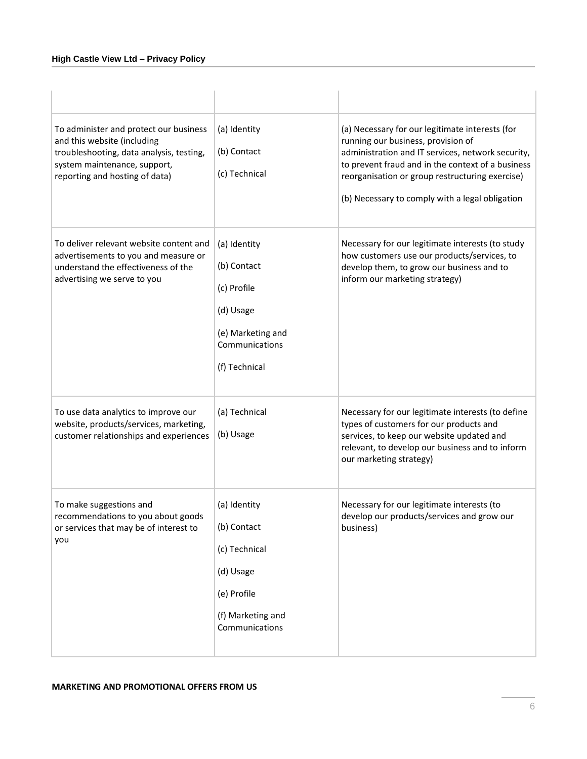| To administer and protect our business<br>and this website (including<br>troubleshooting, data analysis, testing,<br>system maintenance, support,<br>reporting and hosting of data) | (a) Identity<br>(b) Contact<br>(c) Technical                                                                    | (a) Necessary for our legitimate interests (for<br>running our business, provision of<br>administration and IT services, network security,<br>to prevent fraud and in the context of a business<br>reorganisation or group restructuring exercise)<br>(b) Necessary to comply with a legal obligation |
|-------------------------------------------------------------------------------------------------------------------------------------------------------------------------------------|-----------------------------------------------------------------------------------------------------------------|-------------------------------------------------------------------------------------------------------------------------------------------------------------------------------------------------------------------------------------------------------------------------------------------------------|
| To deliver relevant website content and<br>advertisements to you and measure or<br>understand the effectiveness of the<br>advertising we serve to you                               | (a) Identity<br>(b) Contact<br>(c) Profile<br>(d) Usage<br>(e) Marketing and<br>Communications<br>(f) Technical | Necessary for our legitimate interests (to study<br>how customers use our products/services, to<br>develop them, to grow our business and to<br>inform our marketing strategy)                                                                                                                        |
| To use data analytics to improve our<br>website, products/services, marketing,<br>customer relationships and experiences                                                            | (a) Technical<br>(b) Usage                                                                                      | Necessary for our legitimate interests (to define<br>types of customers for our products and<br>services, to keep our website updated and<br>relevant, to develop our business and to inform<br>our marketing strategy)                                                                               |
| To make suggestions and<br>recommendations to you about goods<br>or services that may be of interest to<br>you                                                                      | (a) Identity<br>(b) Contact<br>(c) Technical<br>(d) Usage<br>(e) Profile<br>(f) Marketing and<br>Communications | Necessary for our legitimate interests (to<br>develop our products/services and grow our<br>business)                                                                                                                                                                                                 |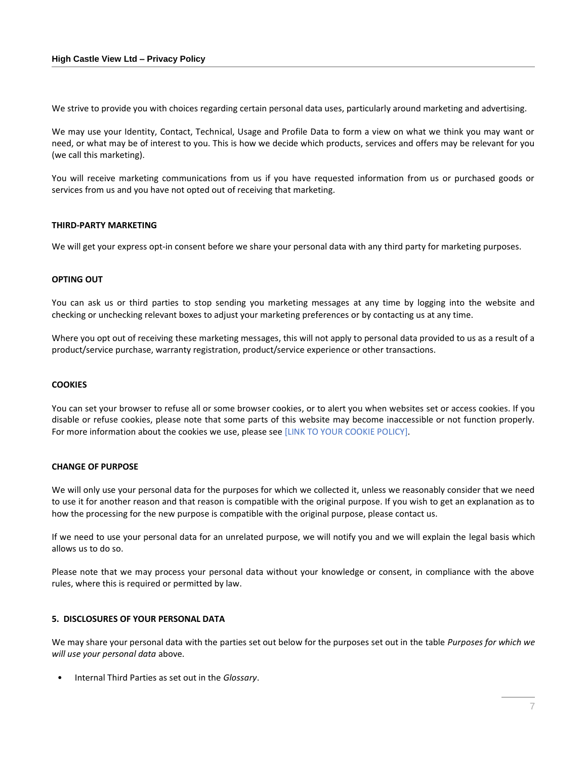We strive to provide you with choices regarding certain personal data uses, particularly around marketing and advertising.

We may use your Identity, Contact, Technical, Usage and Profile Data to form a view on what we think you may want or need, or what may be of interest to you. This is how we decide which products, services and offers may be relevant for you (we call this marketing).

You will receive marketing communications from us if you have requested information from us or purchased goods or services from us and you have not opted out of receiving that marketing.

### **THIRD-PARTY MARKETING**

We will get your express opt-in consent before we share your personal data with any third party for marketing purposes.

# **OPTING OUT**

You can ask us or third parties to stop sending you marketing messages at any time by logging into the website and checking or unchecking relevant boxes to adjust your marketing preferences or by contacting us at any time.

Where you opt out of receiving these marketing messages, this will not apply to personal data provided to us as a result of a product/service purchase, warranty registration, product/service experience or other transactions.

## **COOKIES**

You can set your browser to refuse all or some browser cookies, or to alert you when websites set or access cookies. If you disable or refuse cookies, please note that some parts of this website may become inaccessible or not function properly. For more information about the cookies we use, please see [LINK TO YOUR COOKIE POLICY].

# **CHANGE OF PURPOSE**

We will only use your personal data for the purposes for which we collected it, unless we reasonably consider that we need to use it for another reason and that reason is compatible with the original purpose. If you wish to get an explanation as to how the processing for the new purpose is compatible with the original purpose, please contact us.

If we need to use your personal data for an unrelated purpose, we will notify you and we will explain the legal basis which allows us to do so.

Please note that we may process your personal data without your knowledge or consent, in compliance with the above rules, where this is required or permitted by law.

# **5. DISCLOSURES OF YOUR PERSONAL DATA**

We may share your personal data with the parties set out below for the purposes set out in the table *Purposes for which we will use your personal data* above.

• Internal Third Parties as set out in the *Glossary*.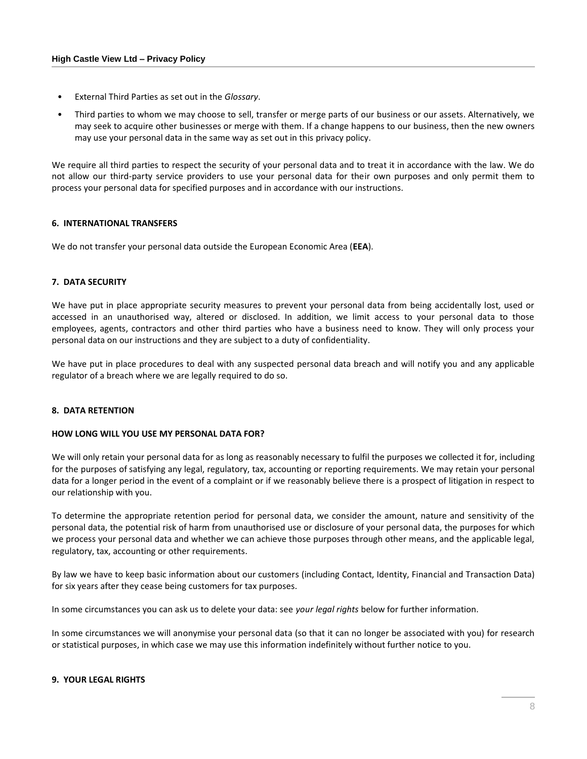- External Third Parties as set out in the *Glossary*.
- Third parties to whom we may choose to sell, transfer or merge parts of our business or our assets. Alternatively, we may seek to acquire other businesses or merge with them. If a change happens to our business, then the new owners may use your personal data in the same way as set out in this privacy policy.

We require all third parties to respect the security of your personal data and to treat it in accordance with the law. We do not allow our third-party service providers to use your personal data for their own purposes and only permit them to process your personal data for specified purposes and in accordance with our instructions.

# **6. INTERNATIONAL TRANSFERS**

We do not transfer your personal data outside the European Economic Area (**EEA**).

### **7. DATA SECURITY**

We have put in place appropriate security measures to prevent your personal data from being accidentally lost, used or accessed in an unauthorised way, altered or disclosed. In addition, we limit access to your personal data to those employees, agents, contractors and other third parties who have a business need to know. They will only process your personal data on our instructions and they are subject to a duty of confidentiality.

We have put in place procedures to deal with any suspected personal data breach and will notify you and any applicable regulator of a breach where we are legally required to do so.

# **8. DATA RETENTION**

### **HOW LONG WILL YOU USE MY PERSONAL DATA FOR?**

We will only retain your personal data for as long as reasonably necessary to fulfil the purposes we collected it for, including for the purposes of satisfying any legal, regulatory, tax, accounting or reporting requirements. We may retain your personal data for a longer period in the event of a complaint or if we reasonably believe there is a prospect of litigation in respect to our relationship with you.

To determine the appropriate retention period for personal data, we consider the amount, nature and sensitivity of the personal data, the potential risk of harm from unauthorised use or disclosure of your personal data, the purposes for which we process your personal data and whether we can achieve those purposes through other means, and the applicable legal, regulatory, tax, accounting or other requirements.

By law we have to keep basic information about our customers (including Contact, Identity, Financial and Transaction Data) for six years after they cease being customers for tax purposes.

In some circumstances you can ask us to delete your data: see *your legal rights* below for further information.

In some circumstances we will anonymise your personal data (so that it can no longer be associated with you) for research or statistical purposes, in which case we may use this information indefinitely without further notice to you.

# **9. YOUR LEGAL RIGHTS**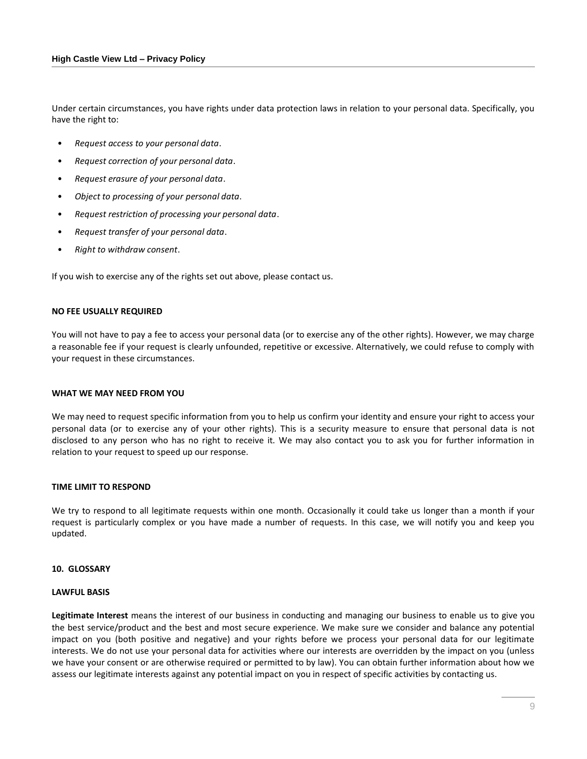Under certain circumstances, you have rights under data protection laws in relation to your personal data. Specifically, you have the right to:

- *Request access to your personal data*.
- *Request correction of your personal data*.
- *Request erasure of your personal data*.
- *Object to processing of your personal data*.
- *Request restriction of processing your personal data*.
- *Request transfer of your personal data*.
- *Right to withdraw consent*.

If you wish to exercise any of the rights set out above, please contact us.

#### **NO FEE USUALLY REQUIRED**

You will not have to pay a fee to access your personal data (or to exercise any of the other rights). However, we may charge a reasonable fee if your request is clearly unfounded, repetitive or excessive. Alternatively, we could refuse to comply with your request in these circumstances.

#### **WHAT WE MAY NEED FROM YOU**

We may need to request specific information from you to help us confirm your identity and ensure your right to access your personal data (or to exercise any of your other rights). This is a security measure to ensure that personal data is not disclosed to any person who has no right to receive it. We may also contact you to ask you for further information in relation to your request to speed up our response.

## **TIME LIMIT TO RESPOND**

We try to respond to all legitimate requests within one month. Occasionally it could take us longer than a month if your request is particularly complex or you have made a number of requests. In this case, we will notify you and keep you updated.

## **10. GLOSSARY**

#### **LAWFUL BASIS**

**Legitimate Interest** means the interest of our business in conducting and managing our business to enable us to give you the best service/product and the best and most secure experience. We make sure we consider and balance any potential impact on you (both positive and negative) and your rights before we process your personal data for our legitimate interests. We do not use your personal data for activities where our interests are overridden by the impact on you (unless we have your consent or are otherwise required or permitted to by law). You can obtain further information about how we assess our legitimate interests against any potential impact on you in respect of specific activities by contacting us.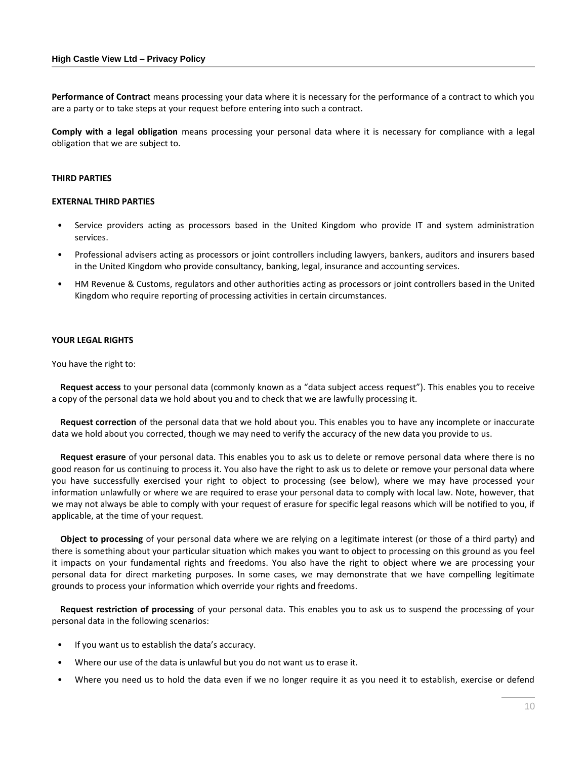**Performance of Contract** means processing your data where it is necessary for the performance of a contract to which you are a party or to take steps at your request before entering into such a contract.

**Comply with a legal obligation** means processing your personal data where it is necessary for compliance with a legal obligation that we are subject to.

## **THIRD PARTIES**

### **EXTERNAL THIRD PARTIES**

- Service providers acting as processors based in the United Kingdom who provide IT and system administration services.
- Professional advisers acting as processors or joint controllers including lawyers, bankers, auditors and insurers based in the United Kingdom who provide consultancy, banking, legal, insurance and accounting services.
- HM Revenue & Customs, regulators and other authorities acting as processors or joint controllers based in the United Kingdom who require reporting of processing activities in certain circumstances.

### **YOUR LEGAL RIGHTS**

You have the right to:

**Request access** to your personal data (commonly known as a "data subject access request"). This enables you to receive a copy of the personal data we hold about you and to check that we are lawfully processing it.

**Request correction** of the personal data that we hold about you. This enables you to have any incomplete or inaccurate data we hold about you corrected, though we may need to verify the accuracy of the new data you provide to us.

**Request erasure** of your personal data. This enables you to ask us to delete or remove personal data where there is no good reason for us continuing to process it. You also have the right to ask us to delete or remove your personal data where you have successfully exercised your right to object to processing (see below), where we may have processed your information unlawfully or where we are required to erase your personal data to comply with local law. Note, however, that we may not always be able to comply with your request of erasure for specific legal reasons which will be notified to you, if applicable, at the time of your request.

**Object to processing** of your personal data where we are relying on a legitimate interest (or those of a third party) and there is something about your particular situation which makes you want to object to processing on this ground as you feel it impacts on your fundamental rights and freedoms. You also have the right to object where we are processing your personal data for direct marketing purposes. In some cases, we may demonstrate that we have compelling legitimate grounds to process your information which override your rights and freedoms.

**Request restriction of processing** of your personal data. This enables you to ask us to suspend the processing of your personal data in the following scenarios:

- If you want us to establish the data's accuracy.
- Where our use of the data is unlawful but you do not want us to erase it.
- Where you need us to hold the data even if we no longer require it as you need it to establish, exercise or defend